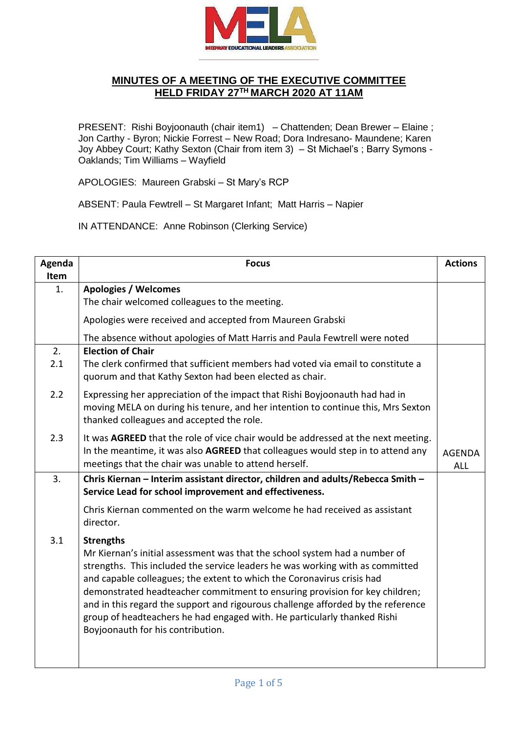

## **MINUTES OF A MEETING OF THE EXECUTIVE COMMITTEE HELD FRIDAY 27TH MARCH 2020 AT 11AM**

PRESENT: Rishi Boyjoonauth (chair item1) – Chattenden; Dean Brewer – Elaine; Jon Carthy - Byron; Nickie Forrest – New Road; Dora Indresano- Maundene; Karen Joy Abbey Court; Kathy Sexton (Chair from item 3) – St Michael's ; Barry Symons - Oaklands; Tim Williams – Wayfield

APOLOGIES: Maureen Grabski – St Mary's RCP

ABSENT: Paula Fewtrell – St Margaret Infant; Matt Harris – Napier

IN ATTENDANCE: Anne Robinson (Clerking Service)

| Agenda      | <b>Focus</b>                                                                                                                                                                                                                                                                                                                                                                                                                                                                                                                                  | <b>Actions</b> |
|-------------|-----------------------------------------------------------------------------------------------------------------------------------------------------------------------------------------------------------------------------------------------------------------------------------------------------------------------------------------------------------------------------------------------------------------------------------------------------------------------------------------------------------------------------------------------|----------------|
| <b>Item</b> |                                                                                                                                                                                                                                                                                                                                                                                                                                                                                                                                               |                |
| 1.          | <b>Apologies / Welcomes</b>                                                                                                                                                                                                                                                                                                                                                                                                                                                                                                                   |                |
|             | The chair welcomed colleagues to the meeting.                                                                                                                                                                                                                                                                                                                                                                                                                                                                                                 |                |
|             | Apologies were received and accepted from Maureen Grabski                                                                                                                                                                                                                                                                                                                                                                                                                                                                                     |                |
|             | The absence without apologies of Matt Harris and Paula Fewtrell were noted                                                                                                                                                                                                                                                                                                                                                                                                                                                                    |                |
| 2.          | <b>Election of Chair</b>                                                                                                                                                                                                                                                                                                                                                                                                                                                                                                                      |                |
| 2.1         | The clerk confirmed that sufficient members had voted via email to constitute a<br>quorum and that Kathy Sexton had been elected as chair.                                                                                                                                                                                                                                                                                                                                                                                                    |                |
| 2.2         | Expressing her appreciation of the impact that Rishi Boyjoonauth had had in<br>moving MELA on during his tenure, and her intention to continue this, Mrs Sexton<br>thanked colleagues and accepted the role.                                                                                                                                                                                                                                                                                                                                  |                |
| 2.3         | It was AGREED that the role of vice chair would be addressed at the next meeting.<br>In the meantime, it was also AGREED that colleagues would step in to attend any                                                                                                                                                                                                                                                                                                                                                                          | <b>AGENDA</b>  |
|             | meetings that the chair was unable to attend herself.                                                                                                                                                                                                                                                                                                                                                                                                                                                                                         | <b>ALL</b>     |
| 3.          | Chris Kiernan - Interim assistant director, children and adults/Rebecca Smith -                                                                                                                                                                                                                                                                                                                                                                                                                                                               |                |
|             | Service Lead for school improvement and effectiveness.                                                                                                                                                                                                                                                                                                                                                                                                                                                                                        |                |
|             | Chris Kiernan commented on the warm welcome he had received as assistant<br>director.                                                                                                                                                                                                                                                                                                                                                                                                                                                         |                |
| 3.1         | <b>Strengths</b><br>Mr Kiernan's initial assessment was that the school system had a number of<br>strengths. This included the service leaders he was working with as committed<br>and capable colleagues; the extent to which the Coronavirus crisis had<br>demonstrated headteacher commitment to ensuring provision for key children;<br>and in this regard the support and rigourous challenge afforded by the reference<br>group of headteachers he had engaged with. He particularly thanked Rishi<br>Boyjoonauth for his contribution. |                |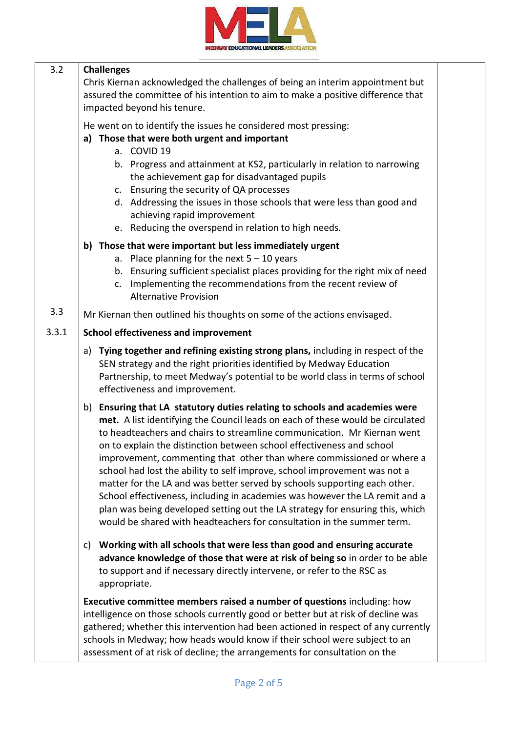

| 3.2   | <b>Challenges</b>                                                                                                                                                                                                                                                                                                                                                                                                                                                                                                                                                                                                                                                                                                                                                                                 |  |
|-------|---------------------------------------------------------------------------------------------------------------------------------------------------------------------------------------------------------------------------------------------------------------------------------------------------------------------------------------------------------------------------------------------------------------------------------------------------------------------------------------------------------------------------------------------------------------------------------------------------------------------------------------------------------------------------------------------------------------------------------------------------------------------------------------------------|--|
|       | Chris Kiernan acknowledged the challenges of being an interim appointment but                                                                                                                                                                                                                                                                                                                                                                                                                                                                                                                                                                                                                                                                                                                     |  |
|       | assured the committee of his intention to aim to make a positive difference that                                                                                                                                                                                                                                                                                                                                                                                                                                                                                                                                                                                                                                                                                                                  |  |
|       | impacted beyond his tenure.                                                                                                                                                                                                                                                                                                                                                                                                                                                                                                                                                                                                                                                                                                                                                                       |  |
|       | He went on to identify the issues he considered most pressing:                                                                                                                                                                                                                                                                                                                                                                                                                                                                                                                                                                                                                                                                                                                                    |  |
|       | a) Those that were both urgent and important                                                                                                                                                                                                                                                                                                                                                                                                                                                                                                                                                                                                                                                                                                                                                      |  |
|       | a. COVID 19                                                                                                                                                                                                                                                                                                                                                                                                                                                                                                                                                                                                                                                                                                                                                                                       |  |
|       | b. Progress and attainment at KS2, particularly in relation to narrowing<br>the achievement gap for disadvantaged pupils                                                                                                                                                                                                                                                                                                                                                                                                                                                                                                                                                                                                                                                                          |  |
|       | c. Ensuring the security of QA processes                                                                                                                                                                                                                                                                                                                                                                                                                                                                                                                                                                                                                                                                                                                                                          |  |
|       | d. Addressing the issues in those schools that were less than good and                                                                                                                                                                                                                                                                                                                                                                                                                                                                                                                                                                                                                                                                                                                            |  |
|       | achieving rapid improvement                                                                                                                                                                                                                                                                                                                                                                                                                                                                                                                                                                                                                                                                                                                                                                       |  |
|       | e. Reducing the overspend in relation to high needs.                                                                                                                                                                                                                                                                                                                                                                                                                                                                                                                                                                                                                                                                                                                                              |  |
|       | b) Those that were important but less immediately urgent                                                                                                                                                                                                                                                                                                                                                                                                                                                                                                                                                                                                                                                                                                                                          |  |
|       | a. Place planning for the next $5 - 10$ years                                                                                                                                                                                                                                                                                                                                                                                                                                                                                                                                                                                                                                                                                                                                                     |  |
|       | b. Ensuring sufficient specialist places providing for the right mix of need                                                                                                                                                                                                                                                                                                                                                                                                                                                                                                                                                                                                                                                                                                                      |  |
|       | Implementing the recommendations from the recent review of<br>C.                                                                                                                                                                                                                                                                                                                                                                                                                                                                                                                                                                                                                                                                                                                                  |  |
|       | <b>Alternative Provision</b>                                                                                                                                                                                                                                                                                                                                                                                                                                                                                                                                                                                                                                                                                                                                                                      |  |
| 3.3   | Mr Kiernan then outlined his thoughts on some of the actions envisaged.                                                                                                                                                                                                                                                                                                                                                                                                                                                                                                                                                                                                                                                                                                                           |  |
| 3.3.1 | <b>School effectiveness and improvement</b>                                                                                                                                                                                                                                                                                                                                                                                                                                                                                                                                                                                                                                                                                                                                                       |  |
|       | Tying together and refining existing strong plans, including in respect of the<br>a)<br>SEN strategy and the right priorities identified by Medway Education<br>Partnership, to meet Medway's potential to be world class in terms of school<br>effectiveness and improvement.                                                                                                                                                                                                                                                                                                                                                                                                                                                                                                                    |  |
|       | Ensuring that LA statutory duties relating to schools and academies were<br>b)<br>met. A list identifying the Council leads on each of these would be circulated<br>to headteachers and chairs to streamline communication. Mr Kiernan went<br>on to explain the distinction between school effectiveness and school<br>improvement, commenting that other than where commissioned or where a<br>school had lost the ability to self improve, school improvement was not a<br>matter for the LA and was better served by schools supporting each other.<br>School effectiveness, including in academies was however the LA remit and a<br>plan was being developed setting out the LA strategy for ensuring this, which<br>would be shared with headteachers for consultation in the summer term. |  |
|       | Working with all schools that were less than good and ensuring accurate<br>C)<br>advance knowledge of those that were at risk of being so in order to be able<br>to support and if necessary directly intervene, or refer to the RSC as<br>appropriate.                                                                                                                                                                                                                                                                                                                                                                                                                                                                                                                                           |  |
|       | Executive committee members raised a number of questions including: how<br>intelligence on those schools currently good or better but at risk of decline was<br>gathered; whether this intervention had been actioned in respect of any currently<br>schools in Medway; how heads would know if their school were subject to an<br>assessment of at risk of decline; the arrangements for consultation on the                                                                                                                                                                                                                                                                                                                                                                                     |  |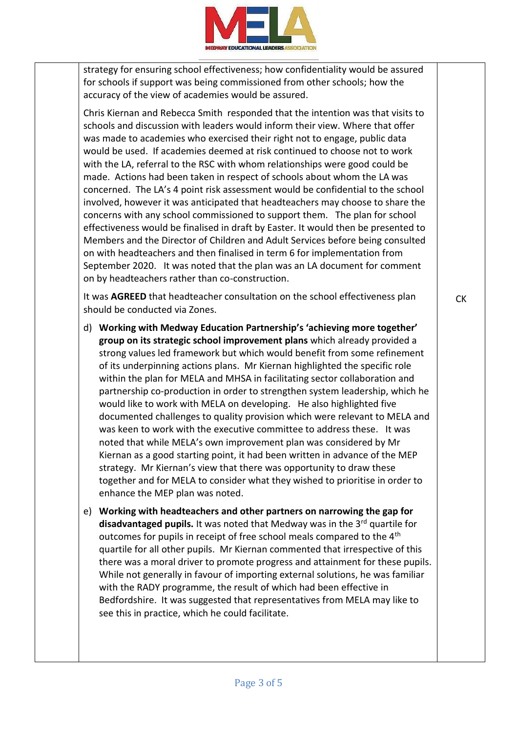

strategy for ensuring school effectiveness; how confidentiality would be assured for schools if support was being commissioned from other schools; how the accuracy of the view of academies would be assured.

Chris Kiernan and Rebecca Smith responded that the intention was that visits to schools and discussion with leaders would inform their view. Where that offer was made to academies who exercised their right not to engage, public data would be used. If academies deemed at risk continued to choose not to work with the LA, referral to the RSC with whom relationships were good could be made. Actions had been taken in respect of schools about whom the LA was concerned. The LA's 4 point risk assessment would be confidential to the school involved, however it was anticipated that headteachers may choose to share the concerns with any school commissioned to support them. The plan for school effectiveness would be finalised in draft by Easter. It would then be presented to Members and the Director of Children and Adult Services before being consulted on with headteachers and then finalised in term 6 for implementation from September 2020. It was noted that the plan was an LA document for comment on by headteachers rather than co-construction.

It was **AGREED** that headteacher consultation on the school effectiveness plan should be conducted via Zones.

- d) **Working with Medway Education Partnership's 'achieving more together' group on its strategic school improvement plans** which already provided a strong values led framework but which would benefit from some refinement of its underpinning actions plans. Mr Kiernan highlighted the specific role within the plan for MELA and MHSA in facilitating sector collaboration and partnership co-production in order to strengthen system leadership, which he would like to work with MELA on developing. He also highlighted five documented challenges to quality provision which were relevant to MELA and was keen to work with the executive committee to address these. It was noted that while MELA's own improvement plan was considered by Mr Kiernan as a good starting point, it had been written in advance of the MEP strategy. Mr Kiernan's view that there was opportunity to draw these together and for MELA to consider what they wished to prioritise in order to enhance the MEP plan was noted.
- e) **Working with headteachers and other partners on narrowing the gap for disadvantaged pupils.** It was noted that Medway was in the 3rd quartile for outcomes for pupils in receipt of free school meals compared to the 4<sup>th</sup> quartile for all other pupils. Mr Kiernan commented that irrespective of this there was a moral driver to promote progress and attainment for these pupils. While not generally in favour of importing external solutions, he was familiar with the RADY programme, the result of which had been effective in Bedfordshire. It was suggested that representatives from MELA may like to see this in practice, which he could facilitate.

CK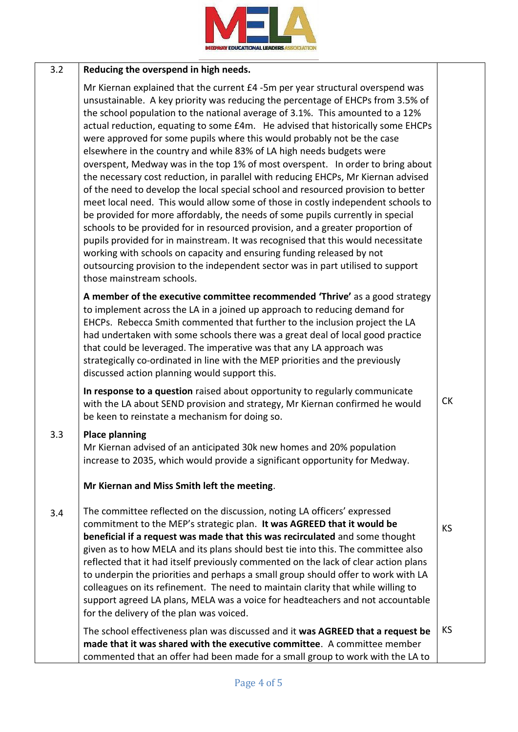

#### 3.2 **Reducing the overspend in high needs.**

Mr Kiernan explained that the current £4 -5m per year structural overspend was unsustainable. A key priority was reducing the percentage of EHCPs from 3.5% of the school population to the national average of 3.1%. This amounted to a 12% actual reduction, equating to some £4m. He advised that historically some EHCPs were approved for some pupils where this would probably not be the case elsewhere in the country and while 83% of LA high needs budgets were overspent, Medway was in the top 1% of most overspent. In order to bring about the necessary cost reduction, in parallel with reducing EHCPs, Mr Kiernan advised of the need to develop the local special school and resourced provision to better meet local need. This would allow some of those in costly independent schools to be provided for more affordably, the needs of some pupils currently in special schools to be provided for in resourced provision, and a greater proportion of pupils provided for in mainstream. It was recognised that this would necessitate working with schools on capacity and ensuring funding released by not outsourcing provision to the independent sector was in part utilised to support those mainstream schools.

**A member of the executive committee recommended 'Thrive'** as a good strategy to implement across the LA in a joined up approach to reducing demand for EHCPs. Rebecca Smith commented that further to the inclusion project the LA had undertaken with some schools there was a great deal of local good practice that could be leveraged. The imperative was that any LA approach was strategically co-ordinated in line with the MEP priorities and the previously discussed action planning would support this.

**In response to a question** raised about opportunity to regularly communicate with the LA about SEND provision and strategy, Mr Kiernan confirmed he would be keen to reinstate a mechanism for doing so.

CK

KS

#### 3.3 **Place planning**

Mr Kiernan advised of an anticipated 30k new homes and 20% population increase to 2035, which would provide a significant opportunity for Medway.

### **Mr Kiernan and Miss Smith left the meeting**.

3.4 The committee reflected on the discussion, noting LA officers' expressed commitment to the MEP's strategic plan. **It was AGREED that it would be beneficial if a request was made that this was recirculated** and some thought given as to how MELA and its plans should best tie into this. The committee also reflected that it had itself previously commented on the lack of clear action plans to underpin the priorities and perhaps a small group should offer to work with LA colleagues on its refinement. The need to maintain clarity that while willing to support agreed LA plans, MELA was a voice for headteachers and not accountable for the delivery of the plan was voiced.

The school effectiveness plan was discussed and it **was AGREED that a request be made that it was shared with the executive committee**. A committee member commented that an offer had been made for a small group to work with the LA to KS